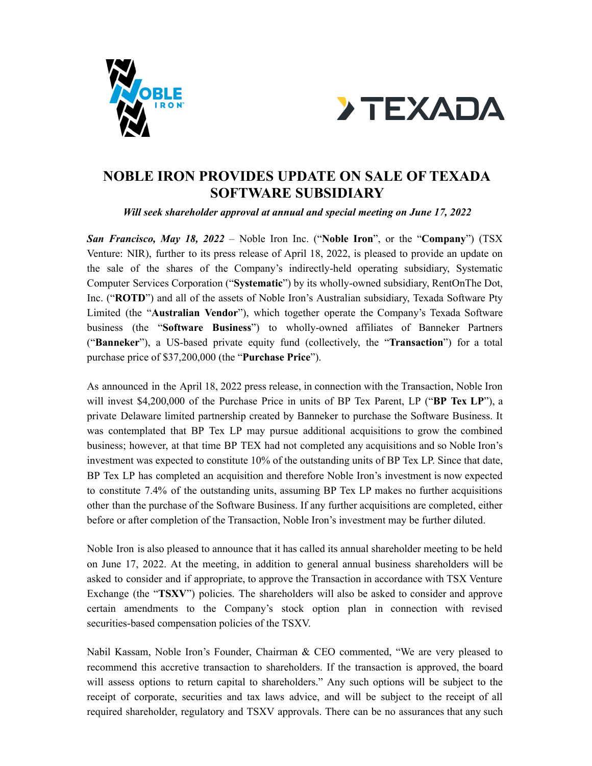



## **NOBLE IRON PROVIDES UPDATE ON SALE OF TEXADA SOFTWARE SUBSIDIARY**

*Will seek shareholder approval at annual and special meeting on June 17, 2022*

*San Francisco, May 18, 2022* – Noble Iron Inc. ("**Noble Iron**", or the "**Company**") (TSX Venture: NIR), further to its press release of April 18, 2022, is pleased to provide an update on the sale of the shares of the Company's indirectly-held operating subsidiary, Systematic Computer Services Corporation ("**Systematic**") by its wholly-owned subsidiary, RentOnThe Dot, Inc. ("**ROTD**") and all of the assets of Noble Iron's Australian subsidiary, Texada Software Pty Limited (the "**Australian Vendor**"), which together operate the Company's Texada Software business (the "**Software Business**") to wholly-owned affiliates of Banneker Partners ("**Banneker**"), a US-based private equity fund (collectively, the "**Transaction**") for a total purchase price of \$37,200,000 (the "**Purchase Price**").

As announced in the April 18, 2022 press release, in connection with the Transaction, Noble Iron will invest \$4,200,000 of the Purchase Price in units of BP Tex Parent, LP ("**BP Tex LP**"), a private Delaware limited partnership created by Banneker to purchase the Software Business. It was contemplated that BP Tex LP may pursue additional acquisitions to grow the combined business; however, at that time BP TEX had not completed any acquisitions and so Noble Iron's investment was expected to constitute 10% of the outstanding units of BP Tex LP. Since that date, BP Tex LP has completed an acquisition and therefore Noble Iron's investment is now expected to constitute 7.4% of the outstanding units, assuming BP Tex LP makes no further acquisitions other than the purchase of the Software Business. If any further acquisitions are completed, either before or after completion of the Transaction, Noble Iron's investment may be further diluted.

Noble Iron is also pleased to announce that it has called its annual shareholder meeting to be held on June 17, 2022. At the meeting, in addition to general annual business shareholders will be asked to consider and if appropriate, to approve the Transaction in accordance with TSX Venture Exchange (the "**TSXV**") policies. The shareholders will also be asked to consider and approve certain amendments to the Company's stock option plan in connection with revised securities-based compensation policies of the TSXV.

Nabil Kassam, Noble Iron's Founder, Chairman & CEO commented, "We are very pleased to recommend this accretive transaction to shareholders. If the transaction is approved, the board will assess options to return capital to shareholders." Any such options will be subject to the receipt of corporate, securities and tax laws advice, and will be subject to the receipt of all required shareholder, regulatory and TSXV approvals. There can be no assurances that any such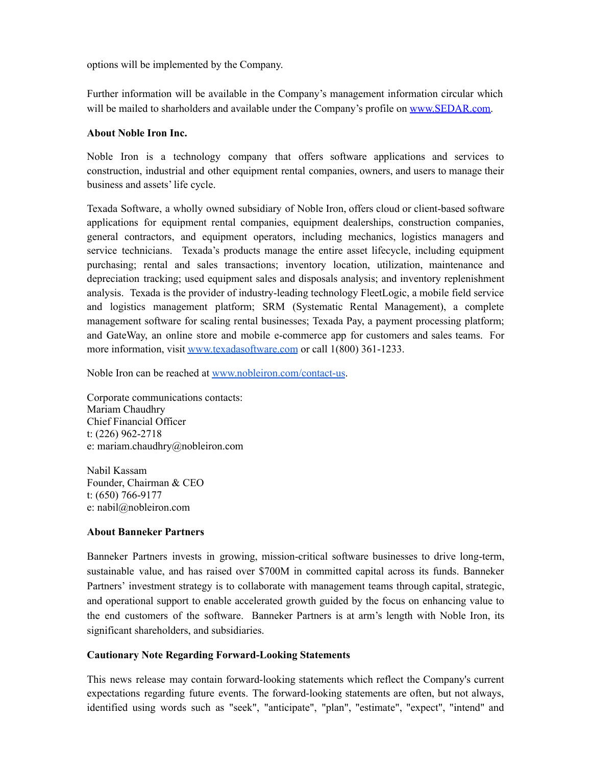options will be implemented by the Company.

Further information will be available in the Company's management information circular which will be mailed to sharholders and available under the Company's profile on [www.SEDAR.com.](http://www.sedar.com)

## **About Noble Iron Inc.**

Noble Iron is a technology company that offers software applications and services to construction, industrial and other equipment rental companies, owners, and users to manage their business and assets' life cycle.

Texada Software, a wholly owned subsidiary of Noble Iron, offers cloud or client-based software applications for equipment rental companies, equipment dealerships, construction companies, general contractors, and equipment operators, including mechanics, logistics managers and service technicians. Texada's products manage the entire asset lifecycle, including equipment purchasing; rental and sales transactions; inventory location, utilization, maintenance and depreciation tracking; used equipment sales and disposals analysis; and inventory replenishment analysis. Texada is the provider of industry-leading technology FleetLogic, a mobile field service and logistics management platform; SRM (Systematic Rental Management), a complete management software for scaling rental businesses; Texada Pay, a payment processing platform; and GateWay, an online store and mobile e-commerce app for customers and sales teams. For more information, visit [www.texadasoftware.com](http://www.texadasoftware.com) or call 1(800) 361-1233.

Noble Iron can be reached at [www.nobleiron.com/contact-us](https://nobleiron.com/contact-us).

Corporate communications contacts: Mariam Chaudhry Chief Financial Officer t: (226) 962-2718 e: [mariam.chaudhry@nobleiron.com](mailto:mariam.chaudhry@nobleiron.com)

Nabil Kassam Founder, Chairman & CEO t: (650) 766-9177 e: [nabil@nobleiron.com](mailto:nabil@nobleiron.com)

## **About Banneker Partners**

Banneker Partners invests in growing, mission-critical software businesses to drive long-term, sustainable value, and has raised over \$700M in committed capital across its funds. Banneker Partners' investment strategy is to collaborate with management teams through capital, strategic, and operational support to enable accelerated growth guided by the focus on enhancing value to the end customers of the software. Banneker Partners is at arm's length with Noble Iron, its significant shareholders, and subsidiaries.

## **Cautionary Note Regarding Forward-Looking Statements**

This news release may contain forward-looking statements which reflect the Company's current expectations regarding future events. The forward-looking statements are often, but not always, identified using words such as "seek", "anticipate", "plan", "estimate", "expect", "intend" and